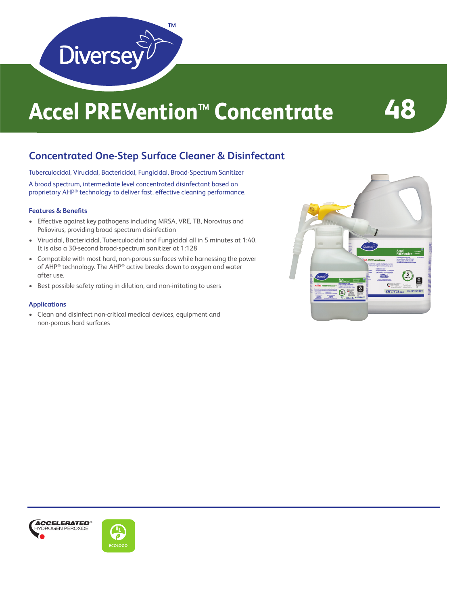

# **Accel PREVention™ Concentrate 48**

### **Concentrated One-Step Surface Cleaner & Disinfectant**

Tuberculocidal, Virucidal, Bactericidal, Fungicidal, Broad-Spectrum Sanitizer

A broad spectrum, intermediate level concentrated disinfectant based on proprietary AHP® technology to deliver fast, effective cleaning performance.

### **Features & Benefits**

- Effective against key pathogens including MRSA, VRE, TB, Norovirus and Poliovirus, providing broad spectrum disinfection
- Virucidal, Bactericidal, Tuberculocidal and Fungicidal all in 5 minutes at 1:40. It is also a 30-second broad-spectrum sanitizer at 1:128
- Compatible with most hard, non-porous surfaces while harnessing the power of AHP® technology. The AHP® active breaks down to oxygen and water after use.
- Best possible safety rating in dilution, and non-irritating to users

### **Applications**

• Clean and disinfect non-critical medical devices, equipment and non-porous hard surfaces